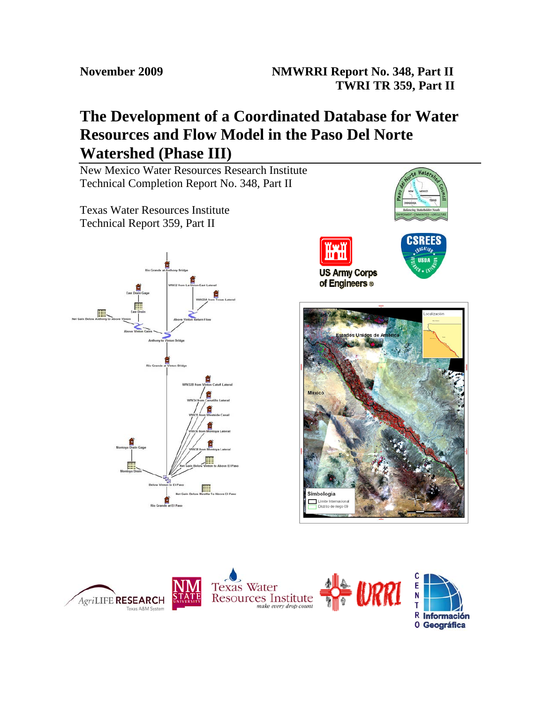# **The Development of a Coordinated Database for Water Resources and Flow Model in the Paso Del Norte Watershed (Phase III)**

New Mexico Water Resources Research Institute Technical Completion Report No. 348, Part II

Texas Water Resources Institute Technical Report 359, Part II







**0 Geográfica** 

SRF

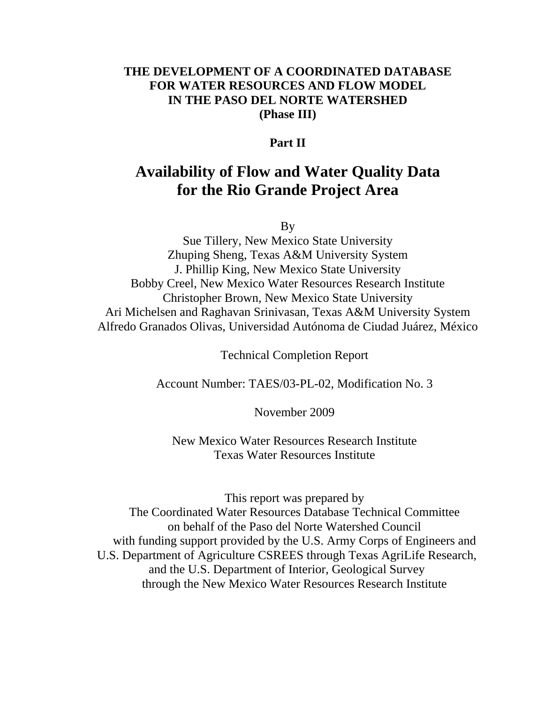# **THE DEVELOPMENT OF A COORDINATED DATABASE FOR WATER RESOURCES AND FLOW MODEL IN THE PASO DEL NORTE WATERSHED (Phase III)**

# **Part II**

# **Availability of Flow and Water Quality Data for the Rio Grande Project Area**

By

Sue Tillery, New Mexico State University Zhuping Sheng, Texas A&M University System J. Phillip King, New Mexico State University Bobby Creel, New Mexico Water Resources Research Institute Christopher Brown, New Mexico State University Ari Michelsen and Raghavan Srinivasan, Texas A&M University System Alfredo Granados Olivas, Universidad Autónoma de Ciudad Juárez, México

Technical Completion Report

Account Number: TAES/03-PL-02, Modification No. 3

November 2009

New Mexico Water Resources Research Institute Texas Water Resources Institute

This report was prepared by The Coordinated Water Resources Database Technical Committee on behalf of the Paso del Norte Watershed Council with funding support provided by the U.S. Army Corps of Engineers and U.S. Department of Agriculture CSREES through Texas AgriLife Research, and the U.S. Department of Interior, Geological Survey through the New Mexico Water Resources Research Institute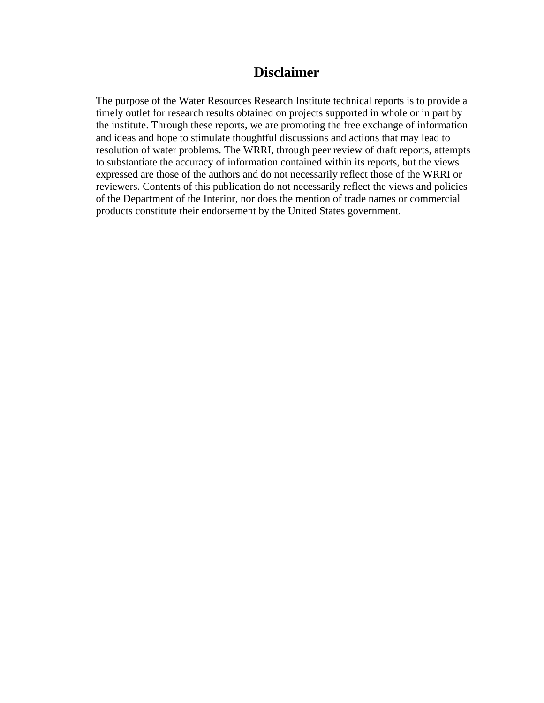# **Disclaimer**

The purpose of the Water Resources Research Institute technical reports is to provide a timely outlet for research results obtained on projects supported in whole or in part by the institute. Through these reports, we are promoting the free exchange of information and ideas and hope to stimulate thoughtful discussions and actions that may lead to resolution of water problems. The WRRI, through peer review of draft reports, attempts to substantiate the accuracy of information contained within its reports, but the views expressed are those of the authors and do not necessarily reflect those of the WRRI or reviewers. Contents of this publication do not necessarily reflect the views and policies of the Department of the Interior, nor does the mention of trade names or commercial products constitute their endorsement by the United States government.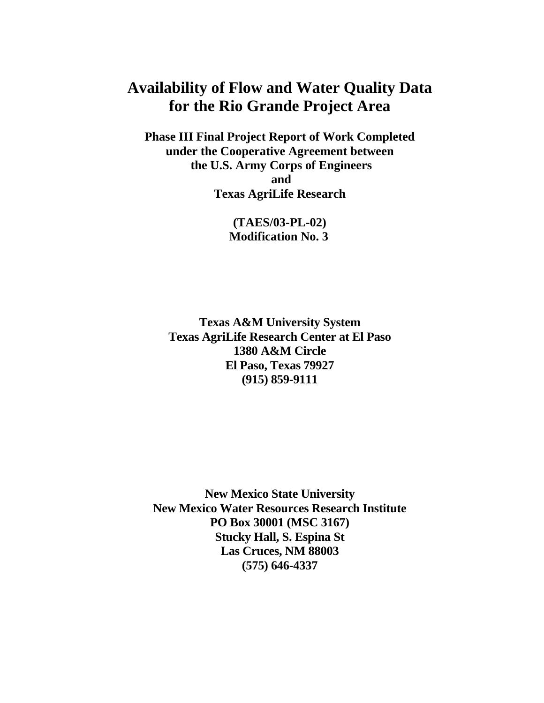# **Availability of Flow and Water Quality Data for the Rio Grande Project Area**

**Phase III Final Project Report of Work Completed under the Cooperative Agreement between the U.S. Army Corps of Engineers and Texas AgriLife Research** 

> **(TAES/03-PL-02) Modification No. 3**

**Texas A&M University System Texas AgriLife Research Center at El Paso 1380 A&M Circle El Paso, Texas 79927 (915) 859-9111** 

**New Mexico State University New Mexico Water Resources Research Institute PO Box 30001 (MSC 3167) Stucky Hall, S. Espina St Las Cruces, NM 88003 (575) 646-4337**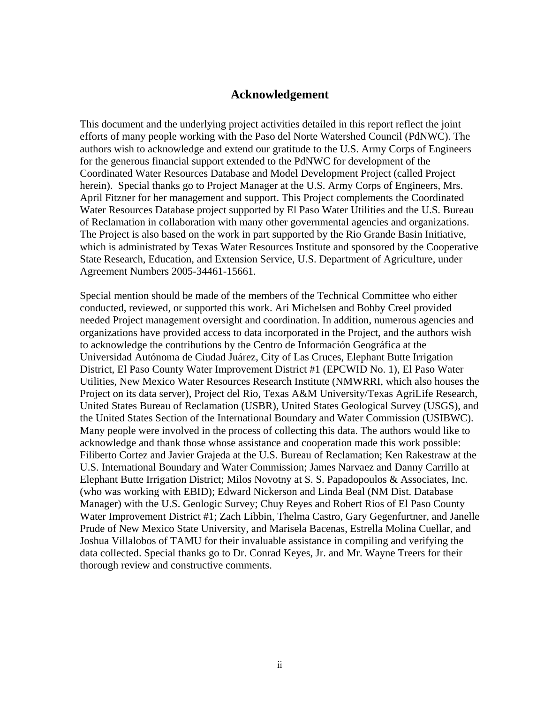### **Acknowledgement**

This document and the underlying project activities detailed in this report reflect the joint efforts of many people working with the Paso del Norte Watershed Council (PdNWC). The authors wish to acknowledge and extend our gratitude to the U.S. Army Corps of Engineers for the generous financial support extended to the PdNWC for development of the Coordinated Water Resources Database and Model Development Project (called Project herein). Special thanks go to Project Manager at the U.S. Army Corps of Engineers, Mrs. April Fitzner for her management and support. This Project complements the Coordinated Water Resources Database project supported by El Paso Water Utilities and the U.S. Bureau of Reclamation in collaboration with many other governmental agencies and organizations. The Project is also based on the work in part supported by the Rio Grande Basin Initiative, which is administrated by Texas Water Resources Institute and sponsored by the Cooperative State Research, Education, and Extension Service, U.S. Department of Agriculture, under Agreement Numbers 2005-34461-15661.

Special mention should be made of the members of the Technical Committee who either conducted, reviewed, or supported this work. Ari Michelsen and Bobby Creel provided needed Project management oversight and coordination. In addition, numerous agencies and organizations have provided access to data incorporated in the Project, and the authors wish to acknowledge the contributions by the Centro de Información Geográfica at the Universidad Autónoma de Ciudad Juárez, City of Las Cruces, Elephant Butte Irrigation District, El Paso County Water Improvement District #1 (EPCWID No. 1), El Paso Water Utilities, New Mexico Water Resources Research Institute (NMWRRI, which also houses the Project on its data server), Project del Rio, Texas A&M University/Texas AgriLife Research, United States Bureau of Reclamation (USBR), United States Geological Survey (USGS), and the United States Section of the International Boundary and Water Commission (USIBWC). Many people were involved in the process of collecting this data. The authors would like to acknowledge and thank those whose assistance and cooperation made this work possible: Filiberto Cortez and Javier Grajeda at the U.S. Bureau of Reclamation; Ken Rakestraw at the U.S. International Boundary and Water Commission; James Narvaez and Danny Carrillo at Elephant Butte Irrigation District; Milos Novotny at S. S. Papadopoulos & Associates, Inc. (who was working with EBID); Edward Nickerson and Linda Beal (NM Dist. Database Manager) with the U.S. Geologic Survey; Chuy Reyes and Robert Rios of El Paso County Water Improvement District #1; Zach Libbin, Thelma Castro, Gary Gegenfurtner, and Janelle Prude of New Mexico State University, and Marisela Bacenas, Estrella Molina Cuellar, and Joshua Villalobos of TAMU for their invaluable assistance in compiling and verifying the data collected. Special thanks go to Dr. Conrad Keyes, Jr. and Mr. Wayne Treers for their thorough review and constructive comments.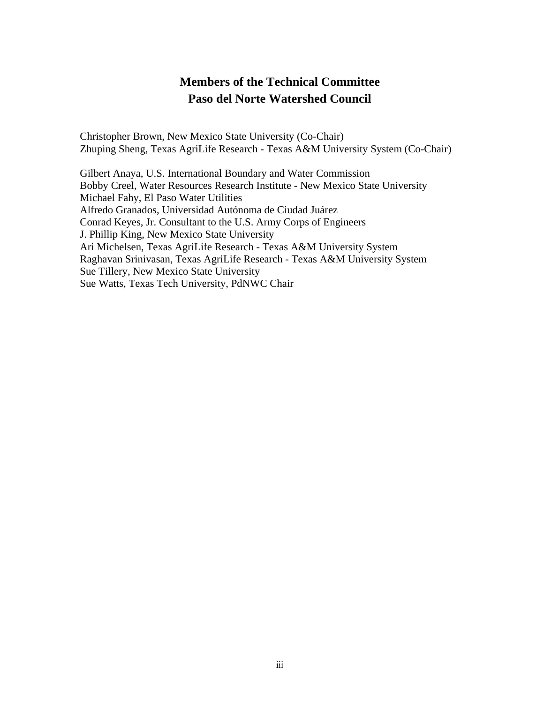# **Members of the Technical Committee Paso del Norte Watershed Council**

Christopher Brown, New Mexico State University (Co-Chair) Zhuping Sheng, Texas AgriLife Research - Texas A&M University System (Co-Chair)

Gilbert Anaya, U.S. International Boundary and Water Commission Bobby Creel, Water Resources Research Institute - New Mexico State University Michael Fahy, El Paso Water Utilities Alfredo Granados, Universidad Autónoma de Ciudad Juárez Conrad Keyes, Jr. Consultant to the U.S. Army Corps of Engineers J. Phillip King, New Mexico State University Ari Michelsen, Texas AgriLife Research - Texas A&M University System Raghavan Srinivasan, Texas AgriLife Research - Texas A&M University System Sue Tillery, New Mexico State University Sue Watts, Texas Tech University, PdNWC Chair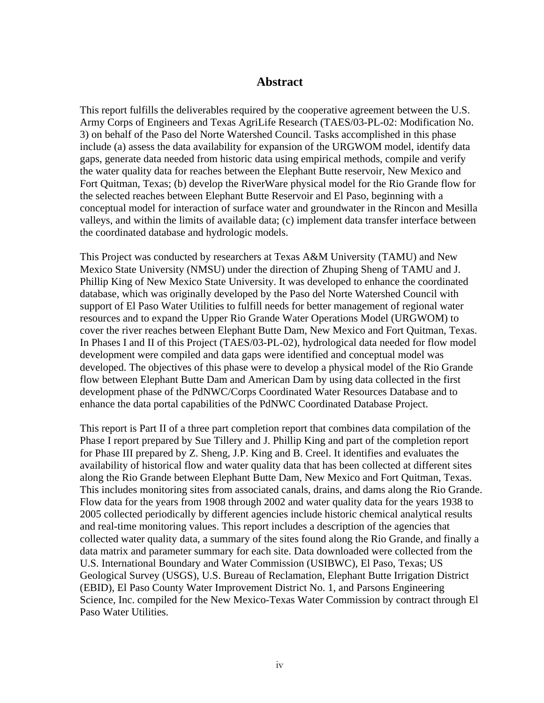## **Abstract**

This report fulfills the deliverables required by the cooperative agreement between the U.S. Army Corps of Engineers and Texas AgriLife Research (TAES/03-PL-02: Modification No. 3) on behalf of the Paso del Norte Watershed Council. Tasks accomplished in this phase include (a) assess the data availability for expansion of the URGWOM model, identify data gaps, generate data needed from historic data using empirical methods, compile and verify the water quality data for reaches between the Elephant Butte reservoir, New Mexico and Fort Quitman, Texas; (b) develop the RiverWare physical model for the Rio Grande flow for the selected reaches between Elephant Butte Reservoir and El Paso, beginning with a conceptual model for interaction of surface water and groundwater in the Rincon and Mesilla valleys, and within the limits of available data; (c) implement data transfer interface between the coordinated database and hydrologic models.

This Project was conducted by researchers at Texas A&M University (TAMU) and New Mexico State University (NMSU) under the direction of Zhuping Sheng of TAMU and J. Phillip King of New Mexico State University. It was developed to enhance the coordinated database, which was originally developed by the Paso del Norte Watershed Council with support of El Paso Water Utilities to fulfill needs for better management of regional water resources and to expand the Upper Rio Grande Water Operations Model (URGWOM) to cover the river reaches between Elephant Butte Dam, New Mexico and Fort Quitman, Texas. In Phases I and II of this Project (TAES/03-PL-02), hydrological data needed for flow model development were compiled and data gaps were identified and conceptual model was developed. The objectives of this phase were to develop a physical model of the Rio Grande flow between Elephant Butte Dam and American Dam by using data collected in the first development phase of the PdNWC/Corps Coordinated Water Resources Database and to enhance the data portal capabilities of the PdNWC Coordinated Database Project.

This report is Part II of a three part completion report that combines data compilation of the Phase I report prepared by Sue Tillery and J. Phillip King and part of the completion report for Phase III prepared by Z. Sheng, J.P. King and B. Creel. It identifies and evaluates the availability of historical flow and water quality data that has been collected at different sites along the Rio Grande between Elephant Butte Dam, New Mexico and Fort Quitman, Texas. This includes monitoring sites from associated canals, drains, and dams along the Rio Grande. Flow data for the years from 1908 through 2002 and water quality data for the years 1938 to 2005 collected periodically by different agencies include historic chemical analytical results and real-time monitoring values. This report includes a description of the agencies that collected water quality data, a summary of the sites found along the Rio Grande, and finally a data matrix and parameter summary for each site. Data downloaded were collected from the U.S. International Boundary and Water Commission (USIBWC), El Paso, Texas; US Geological Survey (USGS), U.S. Bureau of Reclamation, Elephant Butte Irrigation District (EBID), El Paso County Water Improvement District No. 1, and Parsons Engineering Science, Inc. compiled for the New Mexico-Texas Water Commission by contract through El Paso Water Utilities.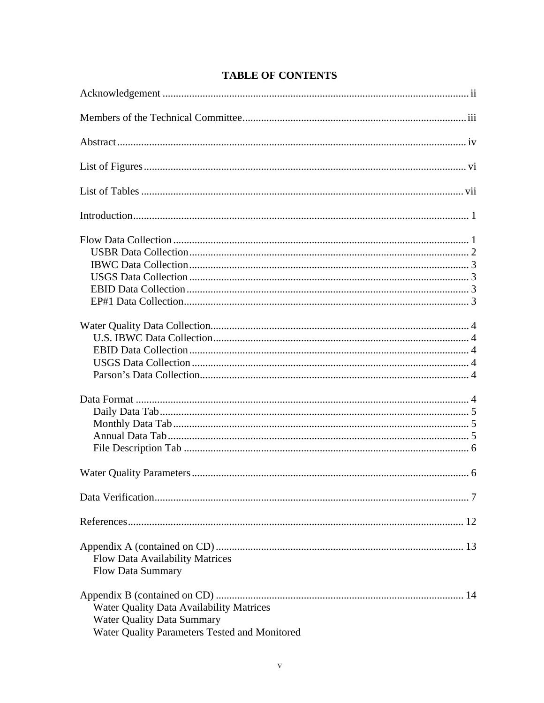| <b>Flow Data Availability Matrices</b><br><b>Flow Data Summary</b>                                                                    |
|---------------------------------------------------------------------------------------------------------------------------------------|
| <b>Water Quality Data Availability Matrices</b><br><b>Water Quality Data Summary</b><br>Water Quality Parameters Tested and Monitored |

# **TABLE OF CONTENTS**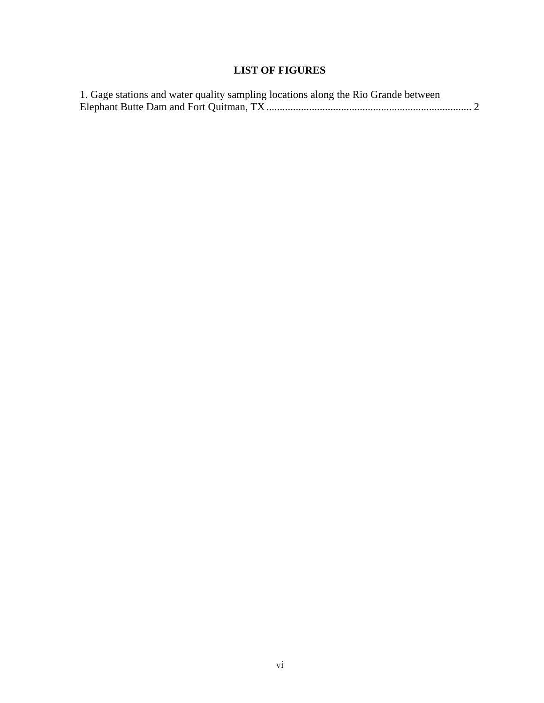# **LIST OF FIGURES**

| 1. Gage stations and water quality sampling locations along the Rio Grande between |  |
|------------------------------------------------------------------------------------|--|
|                                                                                    |  |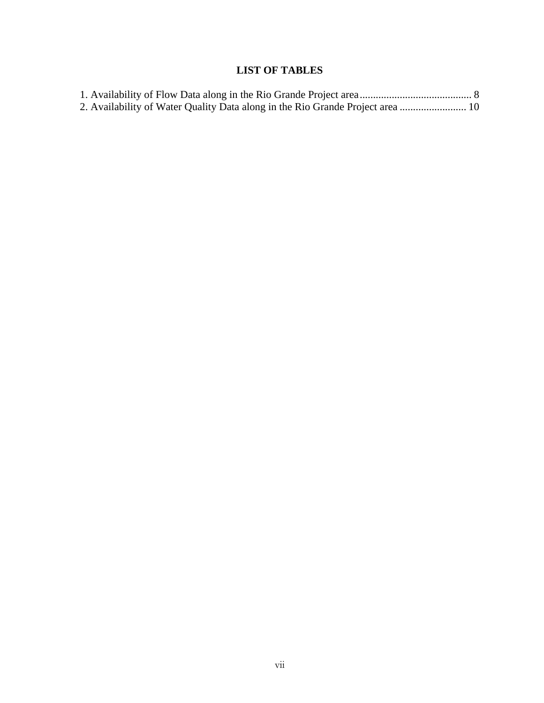# **LIST OF TABLES**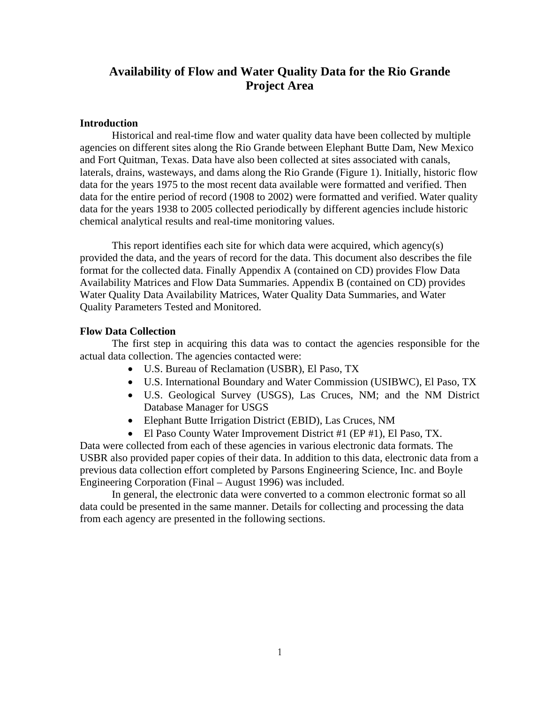# **Availability of Flow and Water Quality Data for the Rio Grande Project Area**

#### **Introduction**

Historical and real-time flow and water quality data have been collected by multiple agencies on different sites along the Rio Grande between Elephant Butte Dam, New Mexico and Fort Quitman, Texas. Data have also been collected at sites associated with canals, laterals, drains, wasteways, and dams along the Rio Grande (Figure 1). Initially, historic flow data for the years 1975 to the most recent data available were formatted and verified. Then data for the entire period of record (1908 to 2002) were formatted and verified. Water quality data for the years 1938 to 2005 collected periodically by different agencies include historic chemical analytical results and real-time monitoring values.

This report identifies each site for which data were acquired, which agency(s) provided the data, and the years of record for the data. This document also describes the file format for the collected data. Finally Appendix A (contained on CD) provides Flow Data Availability Matrices and Flow Data Summaries. Appendix B (contained on CD) provides Water Quality Data Availability Matrices, Water Quality Data Summaries, and Water Quality Parameters Tested and Monitored.

#### **Flow Data Collection**

The first step in acquiring this data was to contact the agencies responsible for the actual data collection. The agencies contacted were:

- U.S. Bureau of Reclamation (USBR), El Paso, TX
- U.S. International Boundary and Water Commission (USIBWC), El Paso, TX
- U.S. Geological Survey (USGS), Las Cruces, NM; and the NM District Database Manager for USGS
- Elephant Butte Irrigation District (EBID), Las Cruces, NM
- El Paso County Water Improvement District #1 (EP #1), El Paso, TX.

Data were collected from each of these agencies in various electronic data formats. The USBR also provided paper copies of their data. In addition to this data, electronic data from a previous data collection effort completed by Parsons Engineering Science, Inc. and Boyle Engineering Corporation (Final – August 1996) was included.

In general, the electronic data were converted to a common electronic format so all data could be presented in the same manner. Details for collecting and processing the data from each agency are presented in the following sections.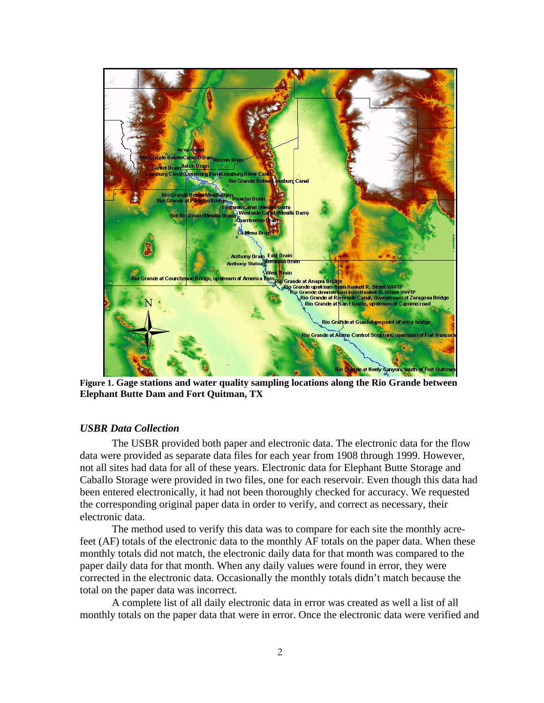

**Figure 1. Gage stations and water quality sampling locations along the Rio Grande between Elephant Butte Dam and Fort Quitman, TX** 

### *USBR Data Collection*

 The USBR provided both paper and electronic data. The electronic data for the flow data were provided as separate data files for each year from 1908 through 1999. However, not all sites had data for all of these years. Electronic data for Elephant Butte Storage and Caballo Storage were provided in two files, one for each reservoir. Even though this data had been entered electronically, it had not been thoroughly checked for accuracy. We requested the corresponding original paper data in order to verify, and correct as necessary, their electronic data.

The method used to verify this data was to compare for each site the monthly acrefeet (AF) totals of the electronic data to the monthly AF totals on the paper data. When these monthly totals did not match, the electronic daily data for that month was compared to the paper daily data for that month. When any daily values were found in error, they were corrected in the electronic data. Occasionally the monthly totals didn't match because the total on the paper data was incorrect.

A complete list of all daily electronic data in error was created as well a list of all monthly totals on the paper data that were in error. Once the electronic data were verified and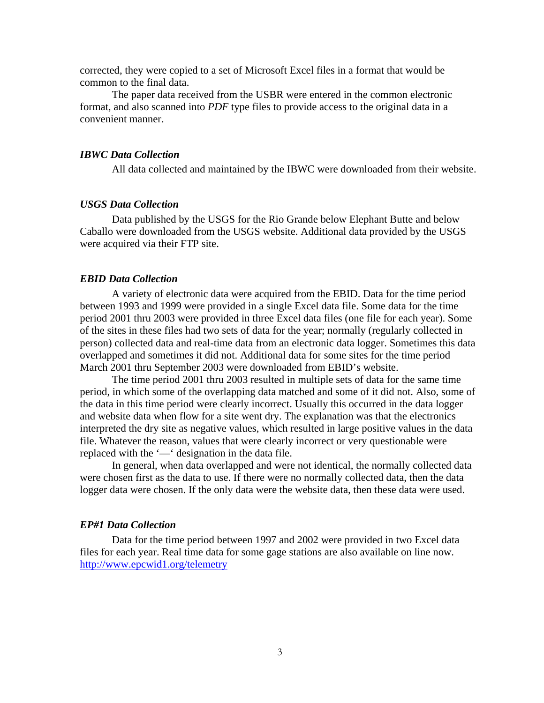corrected, they were copied to a set of Microsoft Excel files in a format that would be common to the final data.

The paper data received from the USBR were entered in the common electronic format, and also scanned into *PDF* type files to provide access to the original data in a convenient manner.

#### *IBWC Data Collection*

All data collected and maintained by the IBWC were downloaded from their website.

#### *USGS Data Collection*

Data published by the USGS for the Rio Grande below Elephant Butte and below Caballo were downloaded from the USGS website. Additional data provided by the USGS were acquired via their FTP site.

#### *EBID Data Collection*

 A variety of electronic data were acquired from the EBID. Data for the time period between 1993 and 1999 were provided in a single Excel data file. Some data for the time period 2001 thru 2003 were provided in three Excel data files (one file for each year). Some of the sites in these files had two sets of data for the year; normally (regularly collected in person) collected data and real-time data from an electronic data logger. Sometimes this data overlapped and sometimes it did not. Additional data for some sites for the time period March 2001 thru September 2003 were downloaded from EBID's website.

The time period 2001 thru 2003 resulted in multiple sets of data for the same time period, in which some of the overlapping data matched and some of it did not. Also, some of the data in this time period were clearly incorrect. Usually this occurred in the data logger and website data when flow for a site went dry. The explanation was that the electronics interpreted the dry site as negative values, which resulted in large positive values in the data file. Whatever the reason, values that were clearly incorrect or very questionable were replaced with the '—' designation in the data file.

In general, when data overlapped and were not identical, the normally collected data were chosen first as the data to use. If there were no normally collected data, then the data logger data were chosen. If the only data were the website data, then these data were used.

#### *EP#1 Data Collection*

Data for the time period between 1997 and 2002 were provided in two Excel data files for each year. Real time data for some gage stations are also available on line now. http://www.epcwid1.org/telemetry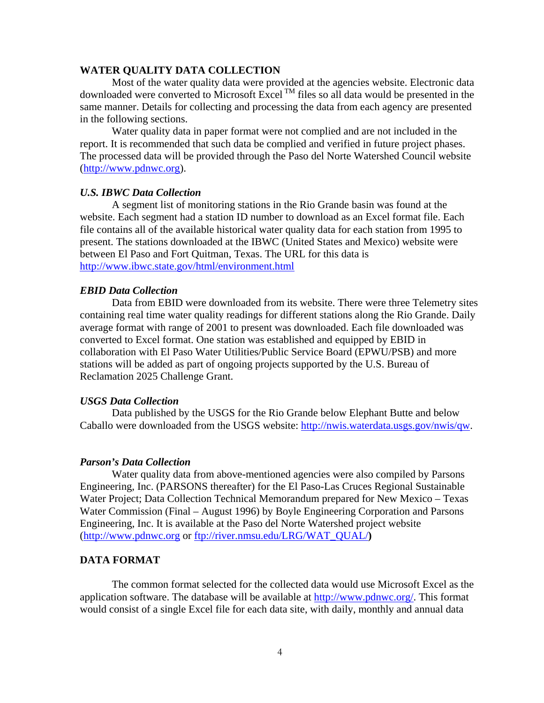#### **WATER QUALITY DATA COLLECTION**

Most of the water quality data were provided at the agencies website. Electronic data downloaded were converted to Microsoft Excel  $^{TM}$  files so all data would be presented in the same manner. Details for collecting and processing the data from each agency are presented in the following sections.

Water quality data in paper format were not complied and are not included in the report. It is recommended that such data be complied and verified in future project phases. The processed data will be provided through the Paso del Norte Watershed Council website (http://www.pdnwc.org).

#### *U.S. IBWC Data Collection*

A segment list of monitoring stations in the Rio Grande basin was found at the website. Each segment had a station ID number to download as an Excel format file. Each file contains all of the available historical water quality data for each station from 1995 to present. The stations downloaded at the IBWC (United States and Mexico) website were between El Paso and Fort Quitman, Texas. The URL for this data is http://www.ibwc.state.gov/html/environment.html

#### *EBID Data Collection*

 Data from EBID were downloaded from its website. There were three Telemetry sites containing real time water quality readings for different stations along the Rio Grande. Daily average format with range of 2001 to present was downloaded. Each file downloaded was converted to Excel format. One station was established and equipped by EBID in collaboration with El Paso Water Utilities/Public Service Board (EPWU/PSB) and more stations will be added as part of ongoing projects supported by the U.S. Bureau of Reclamation 2025 Challenge Grant.

#### *USGS Data Collection*

 Data published by the USGS for the Rio Grande below Elephant Butte and below Caballo were downloaded from the USGS website: http://nwis.waterdata.usgs.gov/nwis/qw.

#### *Parson's Data Collection*

Water quality data from above-mentioned agencies were also compiled by Parsons Engineering, Inc. (PARSONS thereafter) for the El Paso-Las Cruces Regional Sustainable Water Project; Data Collection Technical Memorandum prepared for New Mexico – Texas Water Commission (Final – August 1996) by Boyle Engineering Corporation and Parsons Engineering, Inc. It is available at the Paso del Norte Watershed project website (http://www.pdnwc.org or ftp://river.nmsu.edu/LRG/WAT\_QUAL/**)** 

#### **DATA FORMAT**

The common format selected for the collected data would use Microsoft Excel as the application software. The database will be available at http://www.pdnwc.org/. This format would consist of a single Excel file for each data site, with daily, monthly and annual data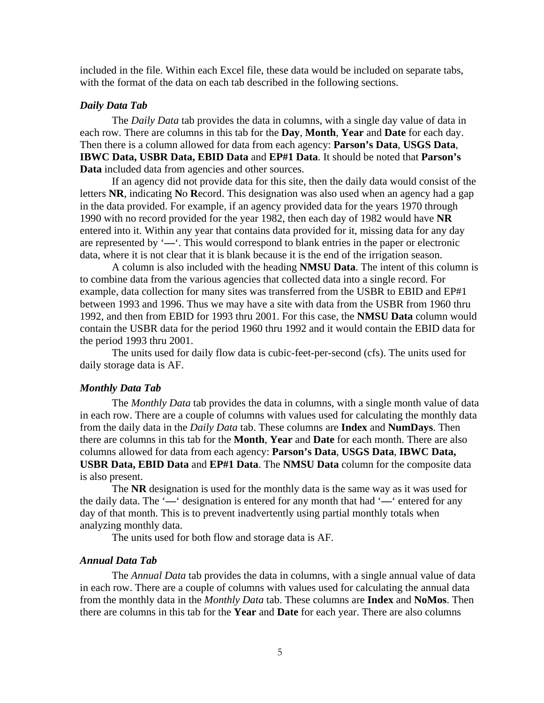included in the file. Within each Excel file, these data would be included on separate tabs, with the format of the data on each tab described in the following sections.

#### *Daily Data Tab*

The *Daily Data* tab provides the data in columns, with a single day value of data in each row. There are columns in this tab for the **Day**, **Month**, **Year** and **Date** for each day. Then there is a column allowed for data from each agency: **Parson's Data**, **USGS Data**, **IBWC Data, USBR Data, EBID Data** and **EP#1 Data**. It should be noted that **Parson's Data** included data from agencies and other sources.

If an agency did not provide data for this site, then the daily data would consist of the letters **NR**, indicating **N**o **R**ecord. This designation was also used when an agency had a gap in the data provided. For example, if an agency provided data for the years 1970 through 1990 with no record provided for the year 1982, then each day of 1982 would have **NR** entered into it. Within any year that contains data provided for it, missing data for any day are represented by '**—**'. This would correspond to blank entries in the paper or electronic data, where it is not clear that it is blank because it is the end of the irrigation season.

A column is also included with the heading **NMSU Data**. The intent of this column is to combine data from the various agencies that collected data into a single record. For example, data collection for many sites was transferred from the USBR to EBID and EP#1 between 1993 and 1996. Thus we may have a site with data from the USBR from 1960 thru 1992, and then from EBID for 1993 thru 2001. For this case, the **NMSU Data** column would contain the USBR data for the period 1960 thru 1992 and it would contain the EBID data for the period 1993 thru 2001.

The units used for daily flow data is cubic-feet-per-second (cfs). The units used for daily storage data is AF.

#### *Monthly Data Tab*

The *Monthly Data* tab provides the data in columns, with a single month value of data in each row. There are a couple of columns with values used for calculating the monthly data from the daily data in the *Daily Data* tab. These columns are **Index** and **NumDays**. Then there are columns in this tab for the **Month**, **Year** and **Date** for each month. There are also columns allowed for data from each agency: **Parson's Data**, **USGS Data**, **IBWC Data, USBR Data, EBID Data** and **EP#1 Data**. The **NMSU Data** column for the composite data is also present.

The **NR** designation is used for the monthly data is the same way as it was used for the daily data. The '**—**' designation is entered for any month that had '**—**' entered for any day of that month. This is to prevent inadvertently using partial monthly totals when analyzing monthly data.

The units used for both flow and storage data is AF.

#### *Annual Data Tab*

The *Annual Data* tab provides the data in columns, with a single annual value of data in each row. There are a couple of columns with values used for calculating the annual data from the monthly data in the *Monthly Data* tab. These columns are **Index** and **NoMos**. Then there are columns in this tab for the **Year** and **Date** for each year. There are also columns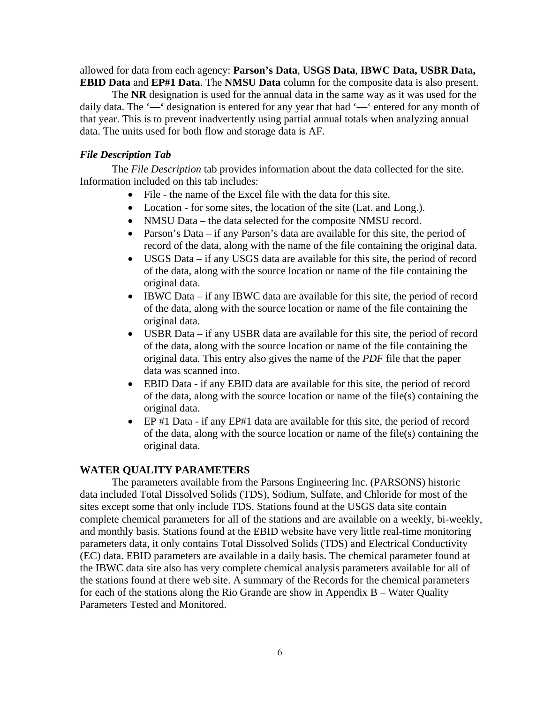allowed for data from each agency: **Parson's Data**, **USGS Data**, **IBWC Data, USBR Data, EBID Data** and **EP#1 Data**. The **NMSU Data** column for the composite data is also present.

The **NR** designation is used for the annual data in the same way as it was used for the daily data. The '**—'** designation is entered for any year that had '**—**' entered for any month of that year. This is to prevent inadvertently using partial annual totals when analyzing annual data. The units used for both flow and storage data is AF.

#### *File Description Tab*

The *File Description* tab provides information about the data collected for the site. Information included on this tab includes:

- File the name of the Excel file with the data for this site.
- Location for some sites, the location of the site (Lat. and Long.).
- NMSU Data the data selected for the composite NMSU record.
- Parson's Data if any Parson's data are available for this site, the period of record of the data, along with the name of the file containing the original data.
- USGS Data if any USGS data are available for this site, the period of record of the data, along with the source location or name of the file containing the original data.
- IBWC Data if any IBWC data are available for this site, the period of record of the data, along with the source location or name of the file containing the original data.
- USBR Data if any USBR data are available for this site, the period of record of the data, along with the source location or name of the file containing the original data. This entry also gives the name of the *PDF* file that the paper data was scanned into.
- EBID Data if any EBID data are available for this site, the period of record of the data, along with the source location or name of the file(s) containing the original data.
- EP #1 Data if any EP#1 data are available for this site, the period of record of the data, along with the source location or name of the file(s) containing the original data.

### **WATER QUALITY PARAMETERS**

The parameters available from the Parsons Engineering Inc. (PARSONS) historic data included Total Dissolved Solids (TDS), Sodium, Sulfate, and Chloride for most of the sites except some that only include TDS. Stations found at the USGS data site contain complete chemical parameters for all of the stations and are available on a weekly, bi-weekly, and monthly basis. Stations found at the EBID website have very little real-time monitoring parameters data, it only contains Total Dissolved Solids (TDS) and Electrical Conductivity (EC) data. EBID parameters are available in a daily basis. The chemical parameter found at the IBWC data site also has very complete chemical analysis parameters available for all of the stations found at there web site. A summary of the Records for the chemical parameters for each of the stations along the Rio Grande are show in Appendix B – Water Quality Parameters Tested and Monitored.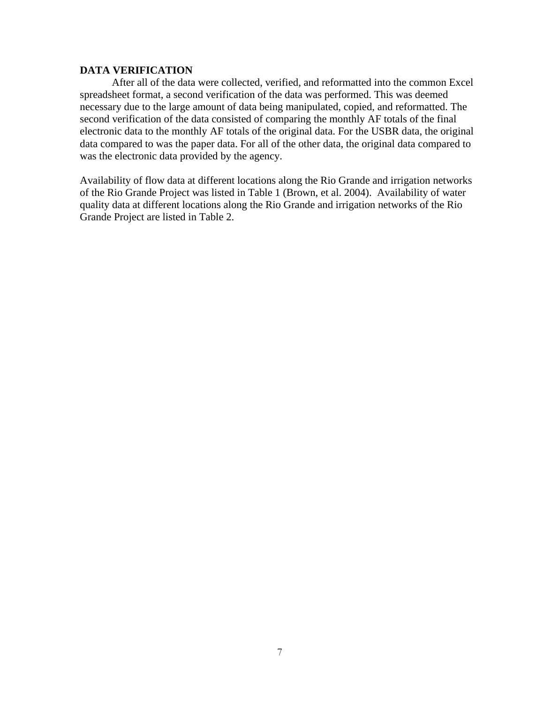### **DATA VERIFICATION**

After all of the data were collected, verified, and reformatted into the common Excel spreadsheet format, a second verification of the data was performed. This was deemed necessary due to the large amount of data being manipulated, copied, and reformatted. The second verification of the data consisted of comparing the monthly AF totals of the final electronic data to the monthly AF totals of the original data. For the USBR data, the original data compared to was the paper data. For all of the other data, the original data compared to was the electronic data provided by the agency.

Availability of flow data at different locations along the Rio Grande and irrigation networks of the Rio Grande Project was listed in Table 1 (Brown, et al. 2004). Availability of water quality data at different locations along the Rio Grande and irrigation networks of the Rio Grande Project are listed in Table 2.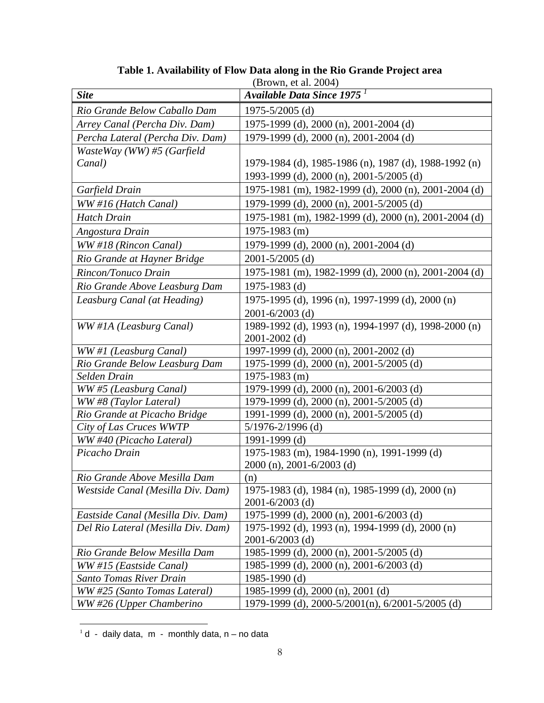| (Brown, et al. 2004)               |                                                                                              |
|------------------------------------|----------------------------------------------------------------------------------------------|
| <b>Site</b>                        | Available Data Since 1975 <sup>1</sup>                                                       |
| Rio Grande Below Caballo Dam       | $1975 - 5/2005$ (d)                                                                          |
| Arrey Canal (Percha Div. Dam)      | 1975-1999 (d), 2000 (n), 2001-2004 (d)                                                       |
| Percha Lateral (Percha Div. Dam)   | 1979-1999 (d), 2000 (n), 2001-2004 (d)                                                       |
| WasteWay (WW) #5 (Garfield         |                                                                                              |
| Canal)                             | 1979-1984 (d), 1985-1986 (n), 1987 (d), 1988-1992 (n)                                        |
|                                    | 1993-1999 (d), 2000 (n), 2001-5/2005 (d)                                                     |
| Garfield Drain                     | 1975-1981 (m), 1982-1999 (d), 2000 (n), 2001-2004 (d)                                        |
| WW #16 (Hatch Canal)               | 1979-1999 (d), 2000 (n), 2001-5/2005 (d)                                                     |
| <b>Hatch Drain</b>                 | 1975-1981 (m), 1982-1999 (d), 2000 (n), 2001-2004 (d)                                        |
| Angostura Drain                    | 1975-1983 (m)                                                                                |
| WW #18 (Rincon Canal)              | 1979-1999 (d), 2000 (n), 2001-2004 (d)                                                       |
| Rio Grande at Hayner Bridge        | $2001 - 5/2005$ (d)                                                                          |
| Rincon/Tonuco Drain                | 1975-1981 (m), 1982-1999 (d), 2000 (n), 2001-2004 (d)                                        |
| Rio Grande Above Leasburg Dam      | 1975-1983 (d)                                                                                |
| Leasburg Canal (at Heading)        | 1975-1995 (d), 1996 (n), 1997-1999 (d), 2000 (n)                                             |
|                                    | 2001-6/2003 (d)                                                                              |
| WW #1A (Leasburg Canal)            | 1989-1992 (d), 1993 (n), 1994-1997 (d), 1998-2000 (n)                                        |
|                                    | $2001 - 2002$ (d)                                                                            |
| WW#1 (Leasburg Canal)              | 1997-1999 (d), 2000 (n), 2001-2002 (d)                                                       |
| Rio Grande Below Leasburg Dam      | 1975-1999 (d), 2000 (n), 2001-5/2005 (d)                                                     |
| Selden Drain                       | $1975 - 1983$ (m)                                                                            |
| WW#5 (Leasburg Canal)              | 1979-1999 (d), 2000 (n), 2001-6/2003 (d)                                                     |
| WW#8 (Taylor Lateral)              | 1979-1999 (d), 2000 (n), 2001-5/2005 (d)                                                     |
| Rio Grande at Picacho Bridge       | 1991-1999 (d), 2000 (n), 2001-5/2005 (d)                                                     |
| City of Las Cruces WWTP            | $5/1976 - 2/1996$ (d)                                                                        |
| WW #40 (Picacho Lateral)           | 1991-1999 (d)                                                                                |
| Picacho Drain                      | 1975-1983 (m), 1984-1990 (n), 1991-1999 (d)                                                  |
|                                    | 2000 (n), 2001-6/2003 (d)                                                                    |
| Rio Grande Above Mesilla Dam       | (n)                                                                                          |
| Westside Canal (Mesilla Div. Dam)  | 1975-1983 (d), 1984 (n), 1985-1999 (d), 2000 (n)                                             |
|                                    | $2001 - 6/2003$ (d)                                                                          |
| Eastside Canal (Mesilla Div. Dam)  | 1975-1999 (d), 2000 (n), 2001-6/2003 (d)<br>1975-1992 (d), 1993 (n), 1994-1999 (d), 2000 (n) |
| Del Rio Lateral (Mesilla Div. Dam) | $2001 - 6/2003$ (d)                                                                          |
| Rio Grande Below Mesilla Dam       | 1985-1999 (d), 2000 (n), 2001-5/2005 (d)                                                     |
| WW#15 (Eastside Canal)             | 1985-1999 (d), 2000 (n), 2001-6/2003 (d)                                                     |
| <b>Santo Tomas River Drain</b>     | 1985-1990 (d)                                                                                |
| WW #25 (Santo Tomas Lateral)       | 1985-1999 (d), 2000 (n), 2001 (d)                                                            |
| WW #26 (Upper Chamberino           | 1979-1999 (d), 2000-5/2001(n), 6/2001-5/2005 (d)                                             |

**Table 1. Availability of Flow Data along in the Rio Grande Project area** 

 $\overline{a}$  $1$  d - daily data, m - monthly data, n – no data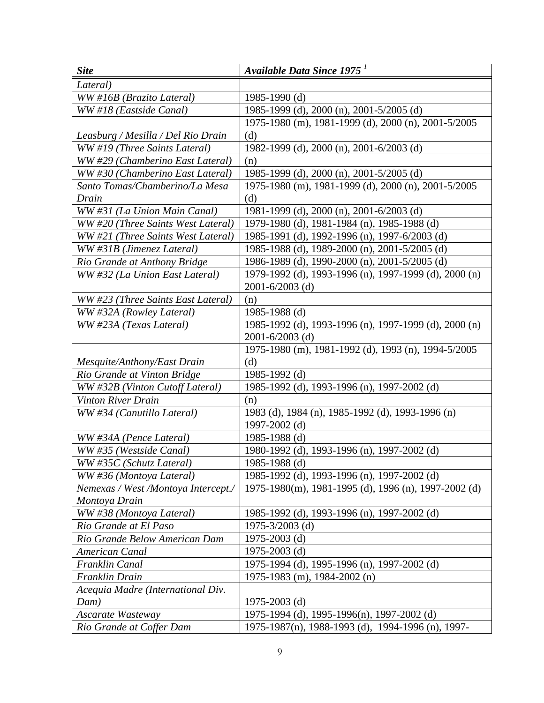| <b>Site</b>                          | Available Data Since 1975 <sup>1</sup>                |
|--------------------------------------|-------------------------------------------------------|
| Lateral)                             |                                                       |
| WW #16B (Brazito Lateral)            | $1985 - 1990$ (d)                                     |
| WW #18 (Eastside Canal)              | 1985-1999 (d), 2000 (n), 2001-5/2005 (d)              |
|                                      | 1975-1980 (m), 1981-1999 (d), 2000 (n), 2001-5/2005   |
| Leasburg / Mesilla / Del Rio Drain   | (d)                                                   |
| WW #19 (Three Saints Lateral)        | 1982-1999 (d), 2000 (n), 2001-6/2003 (d)              |
| WW #29 (Chamberino East Lateral)     | (n)                                                   |
| WW #30 (Chamberino East Lateral)     | 1985-1999 (d), 2000 (n), 2001-5/2005 (d)              |
| Santo Tomas/Chamberino/La Mesa       | 1975-1980 (m), 1981-1999 (d), 2000 (n), 2001-5/2005   |
| Drain                                | (d)                                                   |
| WW #31 (La Union Main Canal)         | 1981-1999 (d), 2000 (n), 2001-6/2003 (d)              |
| WW #20 (Three Saints West Lateral)   | 1979-1980 (d), 1981-1984 (n), 1985-1988 (d)           |
| WW #21 (Three Saints West Lateral)   | 1985-1991 (d), 1992-1996 (n), 1997-6/2003 (d)         |
| WW #31B (Jimenez Lateral)            | 1985-1988 (d), 1989-2000 (n), 2001-5/2005 (d)         |
| Rio Grande at Anthony Bridge         | 1986-1989 (d), 1990-2000 (n), 2001-5/2005 (d)         |
| WW #32 (La Union East Lateral)       | 1979-1992 (d), 1993-1996 (n), 1997-1999 (d), 2000 (n) |
|                                      | $2001 - 6/2003$ (d)                                   |
| WW #23 (Three Saints East Lateral)   | (n)                                                   |
| WW #32A (Rowley Lateral)             | 1985-1988 (d)                                         |
| WW #23A (Texas Lateral)              | 1985-1992 (d), 1993-1996 (n), 1997-1999 (d), 2000 (n) |
|                                      | $2001 - 6/2003$ (d)                                   |
|                                      | 1975-1980 (m), 1981-1992 (d), 1993 (n), 1994-5/2005   |
| Mesquite/Anthony/East Drain          | (d)                                                   |
| Rio Grande at Vinton Bridge          | 1985-1992 $(d)$                                       |
| WW #32B (Vinton Cutoff Lateral)      | 1985-1992 (d), 1993-1996 (n), 1997-2002 (d)           |
| <b>Vinton River Drain</b>            | (n)                                                   |
| WW #34 (Canutillo Lateral)           | 1983 (d), 1984 (n), 1985-1992 (d), 1993-1996 (n)      |
|                                      | 1997-2002 (d)                                         |
| WW #34A (Pence Lateral)              | 1985-1988 (d)                                         |
| WW #35 (Westside Canal)              | 1980-1992 (d), 1993-1996 (n), 1997-2002 (d)           |
| WW #35C (Schutz Lateral)             | 1985-1988 (d)                                         |
| WW #36 (Montoya Lateral)             | 1985-1992 (d), 1993-1996 (n), 1997-2002 (d)           |
| Nemexas / West / Montoya Intercept./ | 1975-1980(m), 1981-1995 (d), 1996 (n), 1997-2002 (d)  |
| Montoya Drain                        |                                                       |
| WW #38 (Montoya Lateral)             | 1985-1992 (d), 1993-1996 (n), 1997-2002 (d)           |
| Rio Grande at El Paso                | 1975-3/2003 (d)                                       |
| Rio Grande Below American Dam        | $1975 - 2003$ (d)                                     |
| <b>American Canal</b>                | 1975-2003 (d)                                         |
| Franklin Canal                       | 1975-1994 (d), 1995-1996 (n), 1997-2002 (d)           |
| Franklin Drain                       | 1975-1983 (m), 1984-2002 (n)                          |
| Acequia Madre (International Div.    |                                                       |
| Dam)                                 | 1975-2003 $(d)$                                       |
| Ascarate Wasteway                    | 1975-1994 (d), 1995-1996(n), 1997-2002 (d)            |
| Rio Grande at Coffer Dam             | 1975-1987(n), 1988-1993 (d), 1994-1996 (n), 1997-     |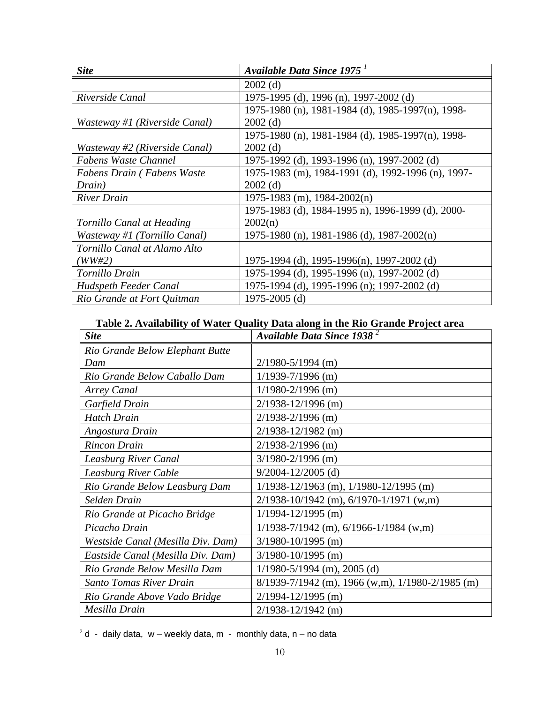| <b>Site</b>                   | Available Data Since 1975 <sup>1</sup>             |
|-------------------------------|----------------------------------------------------|
|                               | $2002$ (d)                                         |
| Riverside Canal               | 1975-1995 (d), 1996 (n), 1997-2002 (d)             |
|                               | 1975-1980 (n), 1981-1984 (d), 1985-1997(n), 1998-  |
| Wasteway #1 (Riverside Canal) | $2002$ (d)                                         |
|                               | 1975-1980 (n), 1981-1984 (d), 1985-1997(n), 1998-  |
| Wasteway #2 (Riverside Canal) | $2002$ (d)                                         |
| <b>Fabens Waste Channel</b>   | 1975-1992 (d), 1993-1996 (n), 1997-2002 (d)        |
| Fabens Drain (Fabens Waste    | 1975-1983 (m), 1984-1991 (d), 1992-1996 (n), 1997- |
| Drain)                        | $2002$ (d)                                         |
| <b>River Drain</b>            | $1975 - 1983$ (m), $1984 - 2002(n)$                |
|                               | 1975-1983 (d), 1984-1995 n), 1996-1999 (d), 2000-  |
| Tornillo Canal at Heading     | 2002(n)                                            |
| Wasteway #1 (Tornillo Canal)  | 1975-1980 (n), 1981-1986 (d), 1987-2002(n)         |
| Tornillo Canal at Alamo Alto  |                                                    |
| (WW#2)                        | 1975-1994 (d), 1995-1996(n), 1997-2002 (d)         |
| Tornillo Drain                | 1975-1994 (d), 1995-1996 (n), 1997-2002 (d)        |
| Hudspeth Feeder Canal         | 1975-1994 (d), 1995-1996 (n); 1997-2002 (d)        |
| Rio Grande at Fort Quitman    | 1975-2005 (d)                                      |

# **Table 2. Availability of Water Quality Data along in the Rio Grande Project area**

| <b>Site</b>                       | Available Data Since 1938 <sup>2</sup>               |
|-----------------------------------|------------------------------------------------------|
| Rio Grande Below Elephant Butte   |                                                      |
| Dam                               | $2/1980 - 5/1994$ (m)                                |
| Rio Grande Below Caballo Dam      | $1/1939 - 7/1996$ (m)                                |
| <b>Arrey Canal</b>                | $1/1980 - 2/1996$ (m)                                |
| Garfield Drain                    | $2/1938 - 12/1996$ (m)                               |
| <b>Hatch Drain</b>                | $2/1938 - 2/1996$ (m)                                |
| Angostura Drain                   | $2/1938 - 12/1982$ (m)                               |
| <b>Rincon Drain</b>               | $2/1938 - 2/1996$ (m)                                |
| <b>Leasburg River Canal</b>       | $3/1980 - 2/1996$ (m)                                |
| Leasburg River Cable              | $9/2004 - 12/2005$ (d)                               |
| Rio Grande Below Leasburg Dam     | $1/1938 - 12/1963$ (m), $1/1980 - 12/1995$ (m)       |
| Selden Drain                      | $2/1938 - 10/1942$ (m), 6/1970-1/1971 (w,m)          |
| Rio Grande at Picacho Bridge      | $1/1994 - 12/1995$ (m)                               |
| Picacho Drain                     | $1/1938 - 7/1942$ (m), 6/1966-1/1984 (w,m)           |
| Westside Canal (Mesilla Div. Dam) | $3/1980 - 10/1995$ (m)                               |
| Eastside Canal (Mesilla Div. Dam) | $3/1980 - 10/1995$ (m)                               |
| Rio Grande Below Mesilla Dam      | $1/1980 - 5/1994$ (m), 2005 (d)                      |
| <b>Santo Tomas River Drain</b>    | $8/1939 - 7/1942$ (m), 1966 (w,m), 1/1980-2/1985 (m) |
| Rio Grande Above Vado Bridge      | $2/1994 - 12/1995$ (m)                               |
| Mesilla Drain                     | $2/1938 - 12/1942$ (m)                               |

 $2 d - d$ aily data, w – weekly data, m - monthly data, n – no data

 $\overline{a}$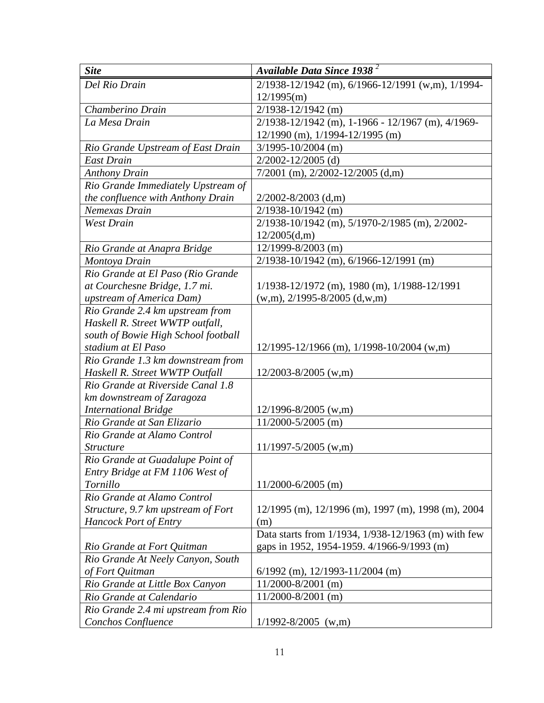| <b>Site</b>                         | Available Data Since 1938 <sup>2</sup>                       |
|-------------------------------------|--------------------------------------------------------------|
| Del Rio Drain                       | 2/1938-12/1942 (m), 6/1966-12/1991 (w,m), 1/1994-            |
|                                     | 12/1995(m)                                                   |
| Chamberino Drain                    | $2/1938 - 12/1942$ (m)                                       |
| La Mesa Drain                       | 2/1938-12/1942 (m), 1-1966 - 12/1967 (m), 4/1969-            |
|                                     | $12/1990$ (m), $1/1994 - 12/1995$ (m)                        |
| Rio Grande Upstream of East Drain   | $3/1995 - 10/2004$ (m)                                       |
| <b>East Drain</b>                   | $2/2002 - 12/2005$ (d)                                       |
| <b>Anthony Drain</b>                | $7/2001$ (m), $2/2002 - 12/2005$ (d,m)                       |
| Rio Grande Immediately Upstream of  |                                                              |
| the confluence with Anthony Drain   | $2/2002 - 8/2003$ (d,m)                                      |
| Nemexas Drain                       | $2/1938 - 10/1942$ (m)                                       |
| <b>West Drain</b>                   | 2/1938-10/1942 (m), 5/1970-2/1985 (m), 2/2002-               |
|                                     | 12/2005(d,m)                                                 |
| Rio Grande at Anapra Bridge         | 12/1999-8/2003 (m)                                           |
| Montoya Drain                       | $2/1938 - 10/1942$ (m), 6/1966-12/1991 (m)                   |
| Rio Grande at El Paso (Rio Grande   |                                                              |
| at Courchesne Bridge, 1.7 mi.       | $1/1938 - 12/1972$ (m), 1980 (m), 1/1988-12/1991             |
| upstream of America Dam)            | $(w,m)$ , 2/1995-8/2005 (d,w,m)                              |
| Rio Grande 2.4 km upstream from     |                                                              |
| Haskell R. Street WWTP outfall,     |                                                              |
| south of Bowie High School football |                                                              |
| stadium at El Paso                  | $12/1995 - 12/1966$ (m), $1/1998 - 10/2004$ (w,m)            |
| Rio Grande 1.3 km downstream from   |                                                              |
| Haskell R. Street WWTP Outfall      | $12/2003 - 8/2005$ (w,m)                                     |
| Rio Grande at Riverside Canal 1.8   |                                                              |
| km downstream of Zaragoza           |                                                              |
| <b>International Bridge</b>         | $12/1996 - 8/2005$ (w,m)                                     |
| Rio Grande at San Elizario          | 11/2000-5/2005 (m)                                           |
| Rio Grande at Alamo Control         |                                                              |
| <i><u><b>Structure</b></u></i>      | $11/1997 - 5/2005$ (w,m)                                     |
| Rio Grande at Guadalupe Point of    |                                                              |
| Entry Bridge at FM 1106 West of     |                                                              |
| Tornillo                            | $11/2000 - 6/2005$ (m)                                       |
| Rio Grande at Alamo Control         |                                                              |
| Structure, 9.7 km upstream of Fort  | $12/1995$ (m), $12/1996$ (m), $1997$ (m), $1998$ (m), $2004$ |
| <b>Hancock Port of Entry</b>        | (m)                                                          |
|                                     | Data starts from 1/1934, 1/938-12/1963 (m) with few          |
| Rio Grande at Fort Quitman          | gaps in 1952, 1954-1959. 4/1966-9/1993 (m)                   |
| Rio Grande At Neely Canyon, South   |                                                              |
| of Fort Quitman                     | $6/1992$ (m), 12/1993-11/2004 (m)                            |
| Rio Grande at Little Box Canyon     | $11/2000 - 8/2001$ (m)                                       |
| Rio Grande at Calendario            | $11/2000 - 8/2001$ (m)                                       |
| Rio Grande 2.4 mi upstream from Rio |                                                              |
| Conchos Confluence                  | $1/1992 - 8/2005$ (w,m)                                      |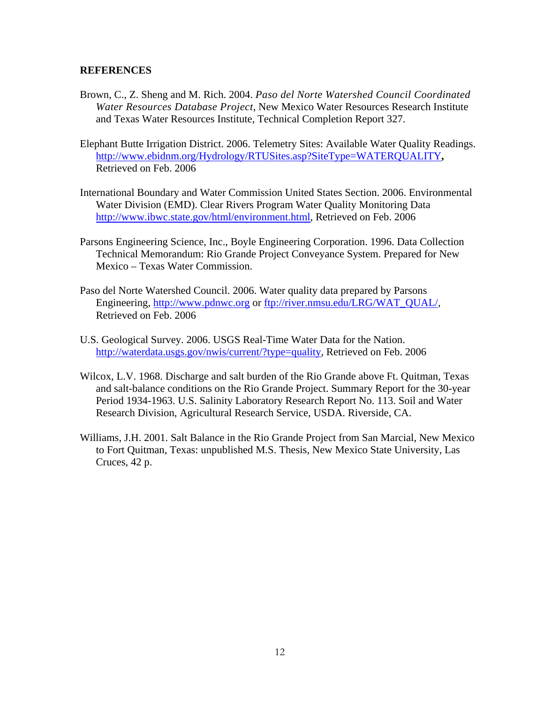#### **REFERENCES**

- Brown, C., Z. Sheng and M. Rich. 2004. *Paso del Norte Watershed Council Coordinated Water Resources Database Project*, New Mexico Water Resources Research Institute and Texas Water Resources Institute, Technical Completion Report 327.
- Elephant Butte Irrigation District. 2006. Telemetry Sites: Available Water Quality Readings. http://www.ebidnm.org/Hydrology/RTUSites.asp?SiteType=WATERQUALITY**,**  Retrieved on Feb. 2006
- International Boundary and Water Commission United States Section. 2006. Environmental Water Division (EMD). Clear Rivers Program Water Quality Monitoring Data http://www.ibwc.state.gov/html/environment.html, Retrieved on Feb. 2006
- Parsons Engineering Science, Inc., Boyle Engineering Corporation. 1996. Data Collection Technical Memorandum: Rio Grande Project Conveyance System. Prepared for New Mexico – Texas Water Commission.
- Paso del Norte Watershed Council. 2006. Water quality data prepared by Parsons Engineering, http://www.pdnwc.org or ftp://river.nmsu.edu/LRG/WAT\_QUAL/, Retrieved on Feb. 2006
- U.S. Geological Survey. 2006. USGS Real-Time Water Data for the Nation. http://waterdata.usgs.gov/nwis/current/?type=quality, Retrieved on Feb. 2006
- Wilcox, L.V. 1968. Discharge and salt burden of the Rio Grande above Ft. Quitman, Texas and salt-balance conditions on the Rio Grande Project. Summary Report for the 30-year Period 1934-1963. U.S. Salinity Laboratory Research Report No. 113. Soil and Water Research Division, Agricultural Research Service, USDA. Riverside, CA.
- Williams, J.H. 2001. Salt Balance in the Rio Grande Project from San Marcial, New Mexico to Fort Quitman, Texas: unpublished M.S. Thesis, New Mexico State University, Las Cruces, 42 p.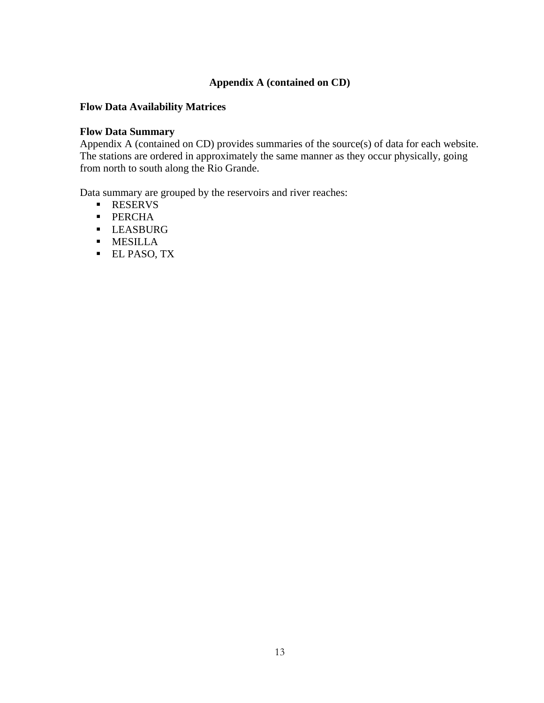### **Appendix A (contained on CD)**

### **Flow Data Availability Matrices**

### **Flow Data Summary**

Appendix A (contained on CD) provides summaries of the source(s) of data for each website. The stations are ordered in approximately the same manner as they occur physically, going from north to south along the Rio Grande.

Data summary are grouped by the reservoirs and river reaches:

- **RESERVS**
- **PERCHA**
- **LEASBURG**
- **MESILLA**
- **EL PASO, TX**